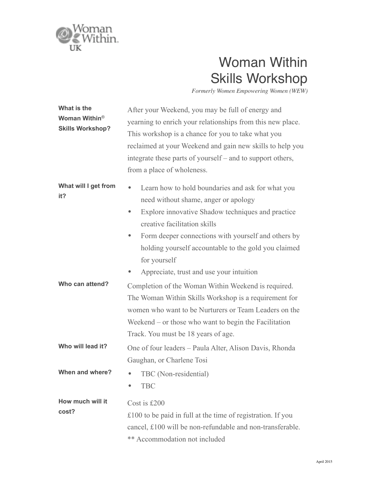

## Woman Within Skills Workshop

*Formerly Women Empowering Women (WEW)*

| What is the<br>Woman Within <sup>®</sup><br><b>Skills Workshop?</b> | After your Weekend, you may be full of energy and<br>yearning to enrich your relationships from this new place.<br>This workshop is a chance for you to take what you<br>reclaimed at your Weekend and gain new skills to help you<br>integrate these parts of yourself – and to support others,<br>from a place of wholeness.                                                           |
|---------------------------------------------------------------------|------------------------------------------------------------------------------------------------------------------------------------------------------------------------------------------------------------------------------------------------------------------------------------------------------------------------------------------------------------------------------------------|
| What will I get from<br>it?                                         | Learn how to hold boundaries and ask for what you<br>$\bullet$<br>need without shame, anger or apology<br>Explore innovative Shadow techniques and practice<br>۰<br>creative facilitation skills<br>Form deeper connections with yourself and others by<br>$\bullet$<br>holding yourself accountable to the gold you claimed<br>for yourself<br>Appreciate, trust and use your intuition |
| Who can attend?                                                     | Completion of the Woman Within Weekend is required.<br>The Woman Within Skills Workshop is a requirement for<br>women who want to be Nurturers or Team Leaders on the<br>Weekend $-$ or those who want to begin the Facilitation<br>Track. You must be 18 years of age.                                                                                                                  |
| Who will lead it?                                                   | One of four leaders - Paula Alter, Alison Davis, Rhonda<br>Gaughan, or Charlene Tosi                                                                                                                                                                                                                                                                                                     |
| When and where?                                                     | TBC (Non-residential)<br><b>TBC</b>                                                                                                                                                                                                                                                                                                                                                      |
| How much will it<br>cost?                                           | Cost is £200<br>$£100$ to be paid in full at the time of registration. If you<br>cancel, £100 will be non-refundable and non-transferable.<br>** Accommodation not included                                                                                                                                                                                                              |